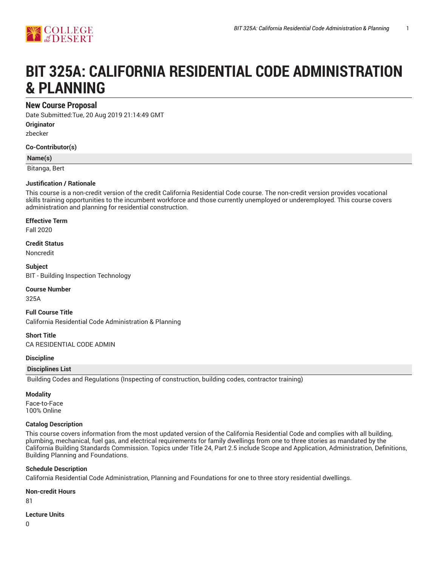

# **BIT 325A: CALIFORNIA RESIDENTIAL CODE ADMINISTRATION & PLANNING**

# **New Course Proposal**

Date Submitted:Tue, 20 Aug 2019 21:14:49 GMT

**Originator**

zbecker

**Co-Contributor(s)**

#### **Name(s)**

Bitanga, Bert

#### **Justification / Rationale**

This course is a non-credit version of the credit California Residential Code course. The non-credit version provides vocational skills training opportunities to the incumbent workforce and those currently unemployed or underemployed. This course covers administration and planning for residential construction.

#### **Effective Term**

Fall 2020

**Credit Status**

Noncredit

**Subject** BIT - Building Inspection Technology

#### **Course Number**

325A

**Full Course Title** California Residential Code Administration & Planning

**Short Title** CA RESIDENTIAL CODE ADMIN

#### **Discipline**

#### **Disciplines List**

Building Codes and Regulations (Inspecting of construction, building codes, contractor training)

#### **Modality**

Face-to-Face 100% Online

#### **Catalog Description**

This course covers information from the most updated version of the California Residential Code and complies with all building, plumbing, mechanical, fuel gas, and electrical requirements for family dwellings from one to three stories as mandated by the California Building Standards Commission. Topics under Title 24, Part 2.5 include Scope and Application, Administration, Definitions, Building Planning and Foundations.

#### **Schedule Description**

California Residential Code Administration, Planning and Foundations for one to three story residential dwellings.

# **Non-credit Hours**

81

#### **Lecture Units**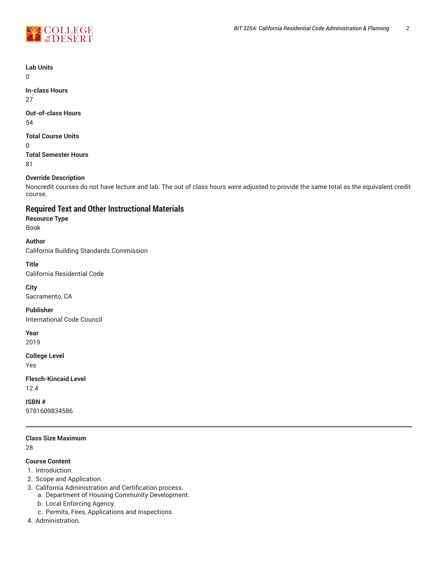

**Lab Units**

 $\Omega$ 

**In-class Hours** 27

**Out-of-class Hours**

54

# **Total Course Units**

0

**Total Semester Hours** 81

#### **Override Description**

Noncredit courses do not have lecture and lab. The out of class hours were adjusted to provide the same total as the equivalent credit course.

# **Required Text and Other Instructional Materials**

#### **Resource Type**

Book

#### **Author**

California Building Standards Commission

#### **Title**

California Residential Code

#### **City**

Sacramento, CA

#### **Publisher**

International Code Council

# **Year**

2019

#### **College Level**

Yes

# **Flesch-Kincaid Level** 12.4

**ISBN #** 9781609834586

# **Class Size Maximum**

28

# **Course Content**

- 1. Introduction.
- 2. Scope and Application.
- 3. California Administration and Certification process.
	- a. Department of Housing Community Development.
	- b. Local Enforcing Agency.
	- c. Permits, Fees, Applications and Inspections.
- 4. Administration.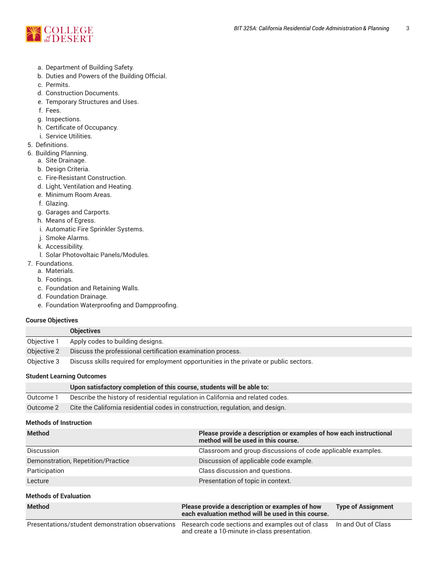

- a. Department of Building Safety.
- b. Duties and Powers of the Building Official.
- c. Permits.
- d. Construction Documents.
- e. Temporary Structures and Uses.
- f. Fees.
- g. Inspections.
- h. Certificate of Occupancy.
- i. Service Utilities.
- 5. Definitions.
- 6. Building Planning.
	- a. Site Drainage.
	- b. Design Criteria.
	- c. Fire-Resistant Construction.
	- d. Light, Ventilation and Heating.
	- e. Minimum Room Areas.
	- f. Glazing.
	- g. Garages and Carports.
	- h. Means of Egress.
	- i. Automatic Fire Sprinkler Systems.
	- j. Smoke Alarms.
	- k. Accessibility.
	- l. Solar Photovoltaic Panels/Modules.
- 7. Foundations.
	- a. Materials.
	- b. Footings.
	- c. Foundation and Retaining Walls.
	- d. Foundation Drainage.
	- e. Foundation Waterproofing and Dampproofing.

#### **Course Objectives**

|             | <b>Objectives</b>                                                                      |
|-------------|----------------------------------------------------------------------------------------|
| Objective 1 | Apply codes to building designs.                                                       |
| Objective 2 | Discuss the professional certification examination process.                            |
| Objective 3 | Discuss skills required for employment opportunities in the private or public sectors. |

#### **Student Learning Outcomes**

|           | Upon satisfactory completion of this course, students will be able to:          |
|-----------|---------------------------------------------------------------------------------|
| Outcome 1 | Describe the history of residential regulation in California and related codes. |
| Outcome 2 | Cite the California residential codes in construction, regulation, and design.  |
|           |                                                                                 |

# **Methods of Instruction**

| <b>Method</b>                      | Please provide a description or examples of how each instructional<br>method will be used in this course. |
|------------------------------------|-----------------------------------------------------------------------------------------------------------|
| <b>Discussion</b>                  | Classroom and group discussions of code applicable examples.                                              |
| Demonstration, Repetition/Practice | Discussion of applicable code example.                                                                    |
| Participation                      | Class discussion and questions.                                                                           |
| Lecture                            | Presentation of topic in context.                                                                         |
| <b>Methods of Evaluation</b>       |                                                                                                           |

| <b>Method</b>                                    | Please provide a description or examples of how<br>each evaluation method will be used in this course.                  | <b>Type of Assignment</b> |
|--------------------------------------------------|-------------------------------------------------------------------------------------------------------------------------|---------------------------|
| Presentations/student demonstration observations | Research code sections and examples out of class   In and Out of Class<br>and create a 10-minute in-class presentation. |                           |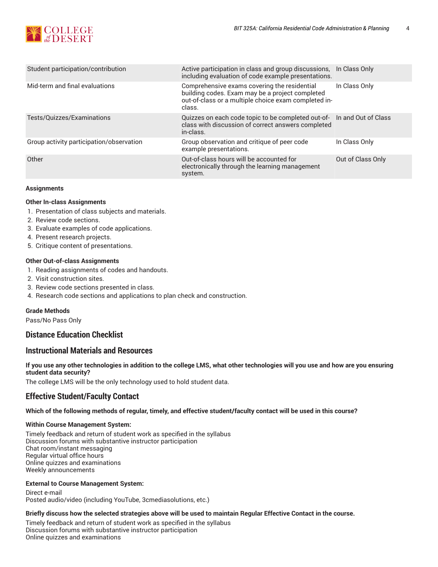

| Student participation/contribution       | Active participation in class and group discussions,<br>including evaluation of code example presentations.                                                       | In Class Only     |
|------------------------------------------|-------------------------------------------------------------------------------------------------------------------------------------------------------------------|-------------------|
| Mid-term and final evaluations           | Comprehensive exams covering the residential<br>building codes. Exam may be a project completed<br>out-of-class or a multiple choice exam completed in-<br>class. | In Class Only     |
| Tests/Quizzes/Examinations               | Quizzes on each code topic to be completed out-of- In and Out of Class<br>class with discussion of correct answers completed<br>in-class.                         |                   |
| Group activity participation/observation | Group observation and critique of peer code<br>example presentations.                                                                                             | In Class Only     |
| Other                                    | Out-of-class hours will be accounted for<br>electronically through the learning management<br>system.                                                             | Out of Class Only |

#### **Assignments**

#### **Other In-class Assignments**

- 1. Presentation of class subjects and materials.
- 2. Review code sections.
- 3. Evaluate examples of code applications.
- 4. Present research projects.
- 5. Critique content of presentations.

#### **Other Out-of-class Assignments**

- 1. Reading assignments of codes and handouts.
- 2. Visit construction sites.
- 3. Review code sections presented in class.
- 4. Research code sections and applications to plan check and construction.

#### **Grade Methods**

Pass/No Pass Only

# **Distance Education Checklist**

# **Instructional Materials and Resources**

If you use any other technologies in addition to the college LMS, what other technologies will you use and how are you ensuring **student data security?**

The college LMS will be the only technology used to hold student data.

# **Effective Student/Faculty Contact**

#### Which of the following methods of regular, timely, and effective student/faculty contact will be used in this course?

#### **Within Course Management System:**

Timely feedback and return of student work as specified in the syllabus Discussion forums with substantive instructor participation Chat room/instant messaging Regular virtual office hours Online quizzes and examinations Weekly announcements

#### **External to Course Management System:**

Direct e-mail Posted audio/video (including YouTube, 3cmediasolutions, etc.)

#### Briefly discuss how the selected strategies above will be used to maintain Regular Effective Contact in the course.

Timely feedback and return of student work as specified in the syllabus Discussion forums with substantive instructor participation Online quizzes and examinations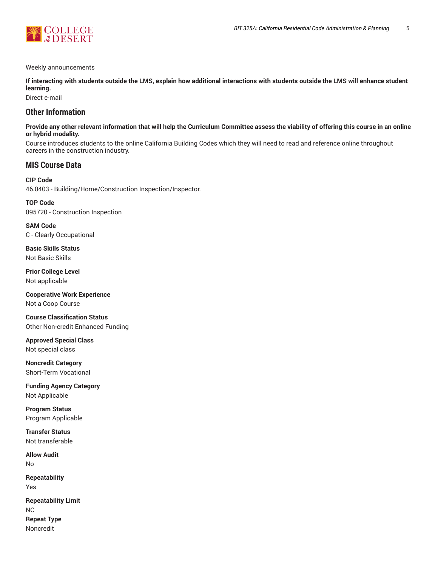

#### Weekly announcements

**If interacting with students outside the LMS, explain how additional interactions with students outside the LMS will enhance student learning.**

Direct e-mail

# **Other Information**

#### Provide any other relevant information that will help the Curriculum Committee assess the viability of offering this course in an online **or hybrid modality.**

Course introduces students to the online California Building Codes which they will need to read and reference online throughout careers in the construction industry.

# **MIS Course Data**

**CIP Code** 46.0403 - Building/Home/Construction Inspection/Inspector.

**TOP Code** 095720 - Construction Inspection

**SAM Code** C - Clearly Occupational

**Basic Skills Status** Not Basic Skills

**Prior College Level** Not applicable

**Cooperative Work Experience** Not a Coop Course

**Course Classification Status** Other Non-credit Enhanced Funding

**Approved Special Class** Not special class

**Noncredit Category** Short-Term Vocational

**Funding Agency Category** Not Applicable

**Program Status** Program Applicable

**Transfer Status** Not transferable

**Allow Audit** No

**Repeatability** Yes

**Repeatability Limit** NC **Repeat Type** Noncredit